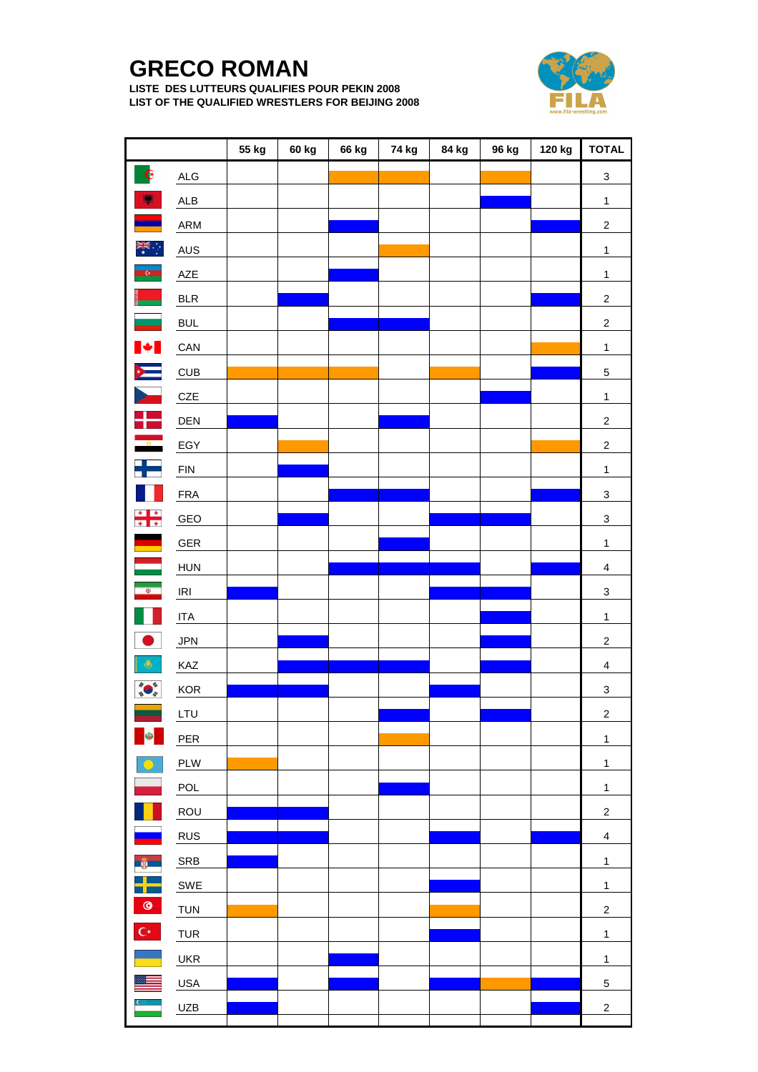## **GRECO ROMAN**

**LISTE DES LUTTEURS QUALIFIES POUR PEKIN 2008 LIST OF THE QUALIFIED WRESTLERS FOR BEIJING 2008**



|                                                                                                                                                                                                                                    |             | 55 kg | 60 kg | 66 kg | 74 kg | 84 kg | 96 kg | 120 kg | <b>TOTAL</b>              |
|------------------------------------------------------------------------------------------------------------------------------------------------------------------------------------------------------------------------------------|-------------|-------|-------|-------|-------|-------|-------|--------|---------------------------|
| $\mathbf G$                                                                                                                                                                                                                        | ALG         |       |       |       |       |       |       |        | $\ensuremath{\mathsf{3}}$ |
| ¥                                                                                                                                                                                                                                  | ${\sf ALB}$ |       |       |       |       |       |       |        | $\mathbf{1}$              |
|                                                                                                                                                                                                                                    | ARM         |       |       |       |       |       |       |        | $\sqrt{2}$                |
| $\frac{1}{\sqrt{K}}$                                                                                                                                                                                                               | <b>AUS</b>  |       |       |       |       |       |       |        | $\mathbf{1}$              |
| <b>C</b>                                                                                                                                                                                                                           | ${\sf AZE}$ |       |       |       |       |       |       |        | $\mathbf{1}$              |
|                                                                                                                                                                                                                                    | BLR         |       |       |       |       |       |       |        | $\boldsymbol{2}$          |
| $\sim$                                                                                                                                                                                                                             | <b>BUL</b>  |       |       |       |       |       |       |        | $\mathbf 2$               |
| $\blacktriangleright$                                                                                                                                                                                                              | CAN         |       |       |       |       |       |       |        | $\mathbf{1}$              |
| $\sum_{i=1}^{n}$                                                                                                                                                                                                                   | CUB         |       |       |       |       |       |       |        | $\,$ 5 $\,$               |
| $\blacktriangleright$                                                                                                                                                                                                              | $CZE$       |       |       |       |       |       |       |        | $\mathbf{1}$              |
| an jari<br>Barat dan salah salah sahiji dan salah sahiji dan salah salah salah salah salah salah salah salah sala<br>Barat dan salah salah salah salah salah salah salah salah salah salah salah salah salah salah salah salah sal | DEN         |       |       |       |       |       |       |        | $\sqrt{2}$                |
|                                                                                                                                                                                                                                    | EGY         |       |       |       |       |       |       |        | $\mathbf 2$               |
| $\frac{1}{\sqrt{2}}$                                                                                                                                                                                                               | FIN         |       |       |       |       |       |       |        | $\overline{1}$            |
|                                                                                                                                                                                                                                    | <b>FRA</b>  |       |       |       |       |       |       |        | $\ensuremath{\mathsf{3}}$ |
| $\begin{array}{c c} \star & \star \\ \hline \star & \star \end{array}$                                                                                                                                                             | GEO         |       |       |       |       |       |       |        | $\ensuremath{\mathsf{3}}$ |
| ۳                                                                                                                                                                                                                                  | GER         |       |       |       |       |       |       |        | $\mathbf{1}$              |
|                                                                                                                                                                                                                                    | <b>HUN</b>  |       |       |       |       |       |       |        | $\overline{\mathbf{4}}$   |
| $\Phi$                                                                                                                                                                                                                             | IRI         |       |       |       |       |       |       |        | $\overline{3}$            |
|                                                                                                                                                                                                                                    | <b>ITA</b>  |       |       |       |       |       |       |        | $\mathbf{1}$              |
|                                                                                                                                                                                                                                    | <b>JPN</b>  |       |       |       |       |       |       |        | $\overline{\mathbf{c}}$   |
| ۰                                                                                                                                                                                                                                  | KAZ         |       |       |       |       |       |       |        | $\overline{\mathbf{4}}$   |
|                                                                                                                                                                                                                                    | KOR         |       |       |       |       |       |       |        | $\ensuremath{\mathsf{3}}$ |
|                                                                                                                                                                                                                                    | LTU         |       |       |       |       |       |       |        | $\mathbf 2$               |
| 6                                                                                                                                                                                                                                  | PER         |       |       |       |       |       |       |        | $\mathbf{1}$              |
|                                                                                                                                                                                                                                    | PLW         |       |       |       |       |       |       |        | $\mathbf{1}$              |
|                                                                                                                                                                                                                                    | POL         |       |       |       |       |       |       |        | $\mathbf{1}$              |
|                                                                                                                                                                                                                                    | ROU         |       |       |       |       |       |       |        | $\overline{c}$            |
|                                                                                                                                                                                                                                    | <b>RUS</b>  |       |       |       |       |       |       |        | $\overline{\mathbf{4}}$   |
|                                                                                                                                                                                                                                    | SRB         |       |       |       |       |       |       |        | $\mathbf{1}$              |
|                                                                                                                                                                                                                                    | SWE         |       |       |       |       |       |       |        | $\mathbf{1}$              |
| $^{\circ}$                                                                                                                                                                                                                         | <b>TUN</b>  |       |       |       |       |       |       |        | $\boldsymbol{2}$          |
| $\mathbb{C}^\star$                                                                                                                                                                                                                 | TUR         |       |       |       |       |       |       |        | $\mathbf{1}$              |
|                                                                                                                                                                                                                                    | <b>UKR</b>  |       |       |       |       |       |       |        | $\mathbf{1}$              |
|                                                                                                                                                                                                                                    | <b>USA</b>  |       |       |       |       |       |       |        | $\,$ 5 $\,$               |
|                                                                                                                                                                                                                                    | UZB         |       |       |       |       |       |       |        | $\overline{c}$            |
|                                                                                                                                                                                                                                    |             |       |       |       |       |       |       |        |                           |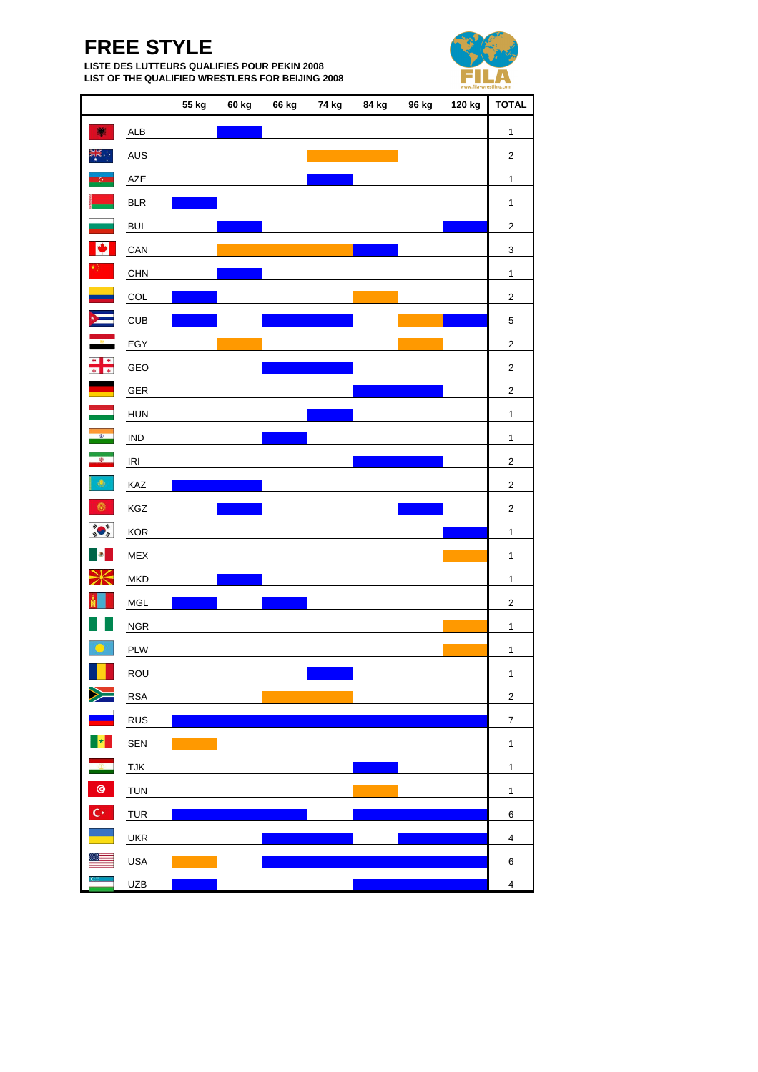## **FREE STYLE**

**LISTE DES LUTTEURS QUALIFIES POUR PEKIN 2008 LIST OF THE QUALIFIED WRESTLERS FOR BEIJING 2008**



|                                   |                |       |       |       |       |       |       |        | www.fila-wrestling.com  |
|-----------------------------------|----------------|-------|-------|-------|-------|-------|-------|--------|-------------------------|
|                                   |                | 55 kg | 60 kg | 66 kg | 74 kg | 84 kg | 96 kg | 120 kg | <b>TOTAL</b>            |
| 飀                                 | ALB            |       |       |       |       |       |       |        | $\mathbf{1}$            |
| ÷<br>⊁<br>⊀                       | <b>AUS</b>     |       |       |       |       |       |       |        | $\mathbf 2$             |
| <b>C</b>                          | AZE            |       |       |       |       |       |       |        | $\overline{1}$          |
|                                   | <b>BLR</b>     |       |       |       |       |       |       |        | $\mathbf{1}$            |
|                                   | <b>BUL</b>     |       |       |       |       |       |       |        | $\mathbf 2$             |
| M                                 | CAN            |       |       |       |       |       |       |        | $\overline{\mathbf{3}}$ |
| $\frac{1}{2}$                     | CHN            |       |       |       |       |       |       |        | $\mathbf{1}$            |
| e de                              | COL            |       |       |       |       |       |       |        | $\overline{2}$          |
|                                   | CUB            |       |       |       |       |       |       |        | $\overline{5}$          |
| $\frac{1}{\kappa}$                | EGY            |       |       |       |       |       |       |        | $\mathbf 2$             |
| $\frac{1}{4}$                     | GEO            |       |       |       |       |       |       |        | $\overline{2}$          |
| <u>e a s</u>                      | ${\tt GER}$    |       |       |       |       |       |       |        | $\mathbf 2$             |
|                                   | <b>HUN</b>     |       |       |       |       |       |       |        | $\mathbf{1}$            |
| $\bullet$                         | $\mathsf{IND}$ |       |       |       |       |       |       |        | $\mathbf{1}$            |
| $\frac{d\mathbf{p}}{d\mathbf{p}}$ | IRI            |       |       |       |       |       |       |        | $\mathbf 2$             |
| $\Phi$                            | KAZ            |       |       |       |       |       |       |        | $\mathbf 2$             |
| $\circledcirc$                    | KGZ            |       |       |       |       |       |       |        | $\overline{2}$          |
|                                   | KOR            |       |       |       |       |       |       |        | $\mathbf{1}$            |
|                                   | MEX            |       |       |       |       |       |       |        | $\mathbf{1}$            |
| Ӂ                                 | MKD            |       |       |       |       |       |       |        | $\mathbf{1}$            |
|                                   | MGL            |       |       |       |       |       |       |        | $\mathbf 2$             |
|                                   | $NGR$          |       |       |       |       |       |       |        | $\mathbf{1}$            |
| $\mathbf{O}^n$                    | PLW            |       |       |       |       |       |       |        | $\mathbf{1}$            |
|                                   | ROU            |       |       |       |       |       |       |        | $\mathbf{1}$            |
| $\geqslant$                       | <b>RSA</b>     |       |       |       |       |       |       |        | $\overline{2}$          |
|                                   | <b>RUS</b>     |       |       |       |       |       |       |        | $\boldsymbol{7}$        |
| $\left\  \star \right\ $          | SEN            |       |       |       |       |       |       |        | $\mathbf{1}$            |
| $\bullet$                         | <b>TJK</b>     |       |       |       |       |       |       |        | $\overline{1}$          |
| $\bullet$                         | <b>TUN</b>     |       |       |       |       |       |       |        | $\mathbf{1}$            |
| $\mathbb{C}^\star$                | <b>TUR</b>     |       |       |       |       |       |       |        | 6                       |
|                                   | <b>UKR</b>     |       |       |       |       |       |       |        | $\overline{\mathbf{4}}$ |
|                                   | USA            |       |       |       |       |       |       |        | 6                       |
|                                   | <b>UZB</b>     |       |       |       |       |       |       |        | $\overline{\mathbf{4}}$ |